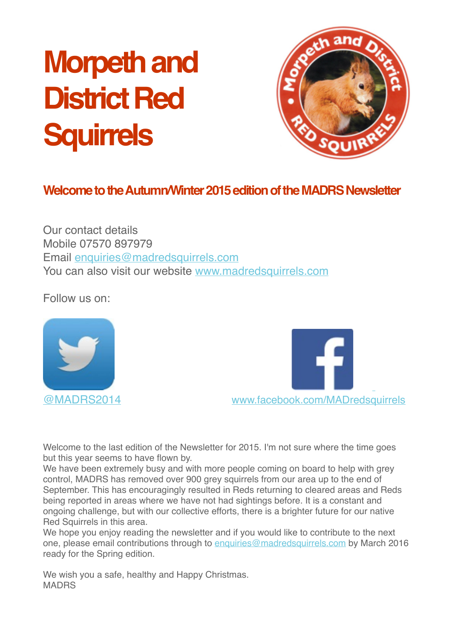# **Morpeth and District Red Squirrels**



# **Welcome to the Autumn/Winter 2015 edition of the MADRS Newsletter**

Our contact details Mobile 07570 897979 Email [enquiries@madredsquirrels.com](mailto:enquiries@madredsquirrels.com) You can also visit our website [www.madredsquirrels.com](http://www.madredsquirrels.com/)

Follow us on:





Welcome to the last edition of the Newsletter for 2015. I'm not sure where the time goes but this year seems to have flown by.

We have been extremely busy and with more people coming on board to help with grey control, MADRS has removed over 900 grey squirrels from our area up to the end of September. This has encouragingly resulted in Reds returning to cleared areas and Reds being reported in areas where we have not had sightings before. It is a constant and ongoing challenge, but with our collective efforts, there is a brighter future for our native Red Squirrels in this area.

We hope you enjoy reading the newsletter and if you would like to contribute to the next one, please email contributions through to [enquiries@madredsquirrels.com](mailto:enquiries@madredsquirrels.com) by March 2016 ready for the Spring edition.

We wish you a safe, healthy and Happy Christmas. MADRS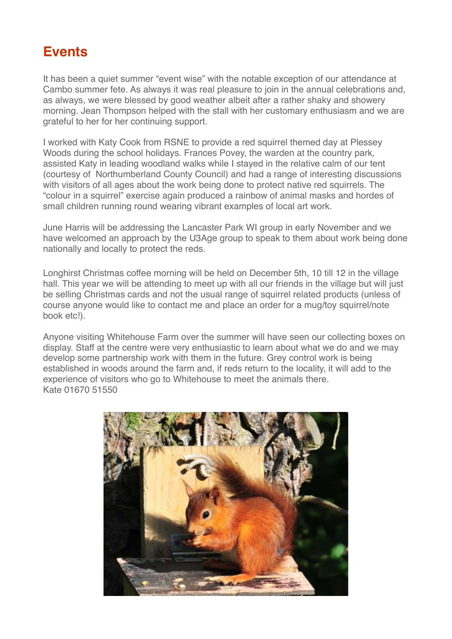# **Events**

It has been a quiet summer "event wise" with the notable exception of our attendance at Cambo summer fete. As always it was real pleasure to join in the annual celebrations and, as always, we were blessed by good weather albeit after a rather shaky and showery morning. Jean Thompson helped with the stall with her customary enthusiasm and we are grateful to her for her continuing support. !

I worked with Katy Cook from RSNE to provide a red squirrel themed day at Plessey Woods during the school holidays. Frances Povey, the warden at the country park, assisted Katy in leading woodland walks while I stayed in the relative calm of our tent (courtesy of Northumberland County Council) and had a range of interesting discussions with visitors of all ages about the work being done to protect native red squirrels. The "colour in a squirrel" exercise again produced a rainbow of animal masks and hordes of small children running round wearing vibrant examples of local art work.

June Harris will be addressing the Lancaster Park WI group in early November and we have welcomed an approach by the U3Age group to speak to them about work being done nationally and locally to protect the reds. !

Longhirst Christmas coffee morning will be held on December 5th, 10 till 12 in the village hall. This year we will be attending to meet up with all our friends in the village but will just be selling Christmas cards and not the usual range of squirrel related products (unless of course anyone would like to contact me and place an order for a mug/toy squirrel/note book etc!).

Anyone visiting Whitehouse Farm over the summer will have seen our collecting boxes on display. Staff at the centre were very enthusiastic to learn about what we do and we may develop some partnership work with them in the future. Grey control work is being established in woods around the farm and, if reds return to the locality, it will add to the experience of visitors who go to Whitehouse to meet the animals there. Kate 01670 51550

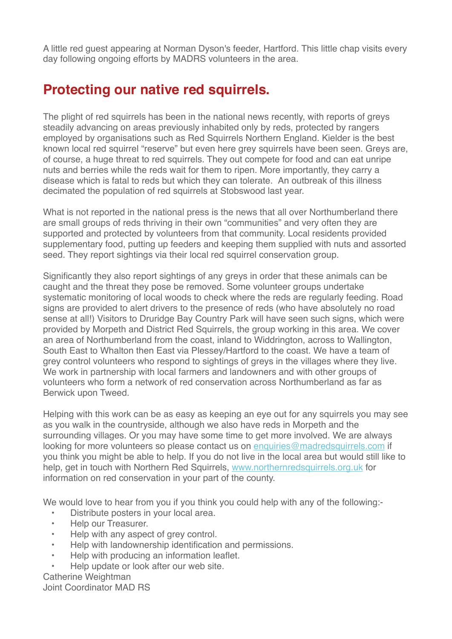A little red guest appearing at Norman Dyson's feeder, Hartford. This little chap visits every day following ongoing efforts by MADRS volunteers in the area.

# **Protecting our native red squirrels.**

The plight of red squirrels has been in the national news recently, with reports of greys steadily advancing on areas previously inhabited only by reds, protected by rangers employed by organisations such as Red Squirrels Northern England. Kielder is the best known local red squirrel "reserve" but even here grey squirrels have been seen. Greys are, of course, a huge threat to red squirrels. They out compete for food and can eat unripe nuts and berries while the reds wait for them to ripen. More importantly, they carry a disease which is fatal to reds but which they can tolerate. An outbreak of this illness decimated the population of red squirrels at Stobswood last year.

What is not reported in the national press is the news that all over Northumberland there are small groups of reds thriving in their own "communities" and very often they are supported and protected by volunteers from that community. Local residents provided supplementary food, putting up feeders and keeping them supplied with nuts and assorted seed. They report sightings via their local red squirrel conservation group.

Significantly they also report sightings of any greys in order that these animals can be caught and the threat they pose be removed. Some volunteer groups undertake systematic monitoring of local woods to check where the reds are regularly feeding. Road signs are provided to alert drivers to the presence of reds (who have absolutely no road sense at all!) Visitors to Druridge Bay Country Park will have seen such signs, which were provided by Morpeth and District Red Squirrels, the group working in this area. We cover an area of Northumberland from the coast, inland to Widdrington, across to Wallington, South East to Whalton then East via Plessey/Hartford to the coast. We have a team of grey control volunteers who respond to sightings of greys in the villages where they live. We work in partnership with local farmers and landowners and with other groups of volunteers who form a network of red conservation across Northumberland as far as Berwick upon Tweed.

Helping with this work can be as easy as keeping an eye out for any squirrels you may see as you walk in the countryside, although we also have reds in Morpeth and the surrounding villages. Or you may have some time to get more involved. We are always looking for more volunteers so please contact us on enquiries@madredsquirrels.com if you think you might be able to help. If you do not live in the local area but would still like to help, get in touch with Northern Red Squirrels, www.northernredsquirrels.org.uk for information on red conservation in your part of the county.

We would love to hear from you if you think you could help with any of the following:-

- Distribute posters in your local area.
- Help our Treasurer.
- Help with any aspect of grey control.
- Help with landownership identification and permissions.
- Help with producing an information leaflet.
- Help update or look after our web site.

Catherine Weightman ! Joint Coordinator MAD RS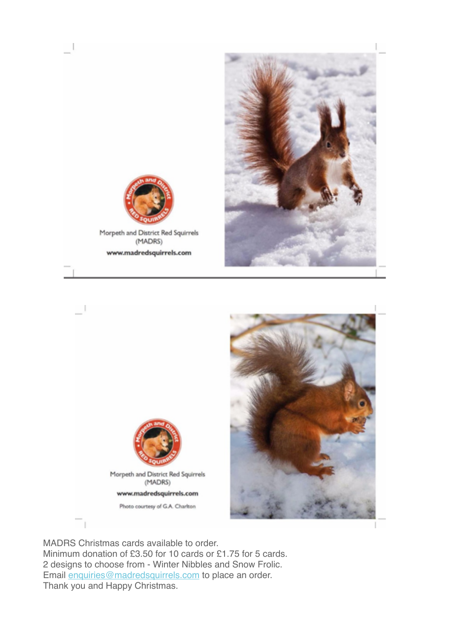



 $\overline{\phantom{0}}$ 

Morpeth and District Red Squirrels (MADRS) www.madredsquirrels.com



MADRS Christmas cards available to order. Minimum donation of £3.50 for 10 cards or £1.75 for 5 cards. 2 designs to choose from - Winter Nibbles and Snow Frolic. Email enquiries@madredsquirrels.com to place an order. Thank you and Happy Christmas.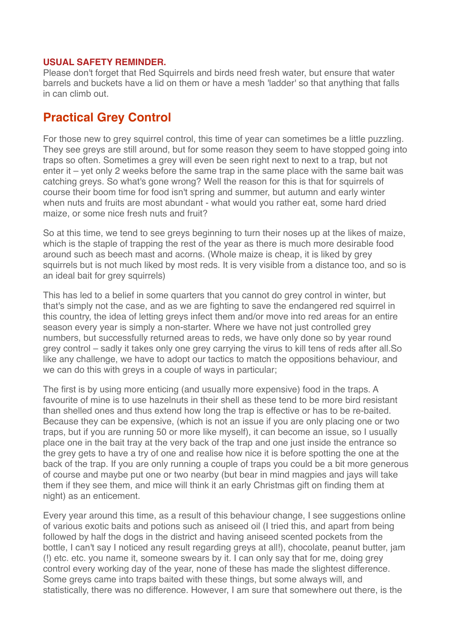#### **USUAL SAFETY REMINDER.**

Please don't forget that Red Squirrels and birds need fresh water, but ensure that water barrels and buckets have a lid on them or have a mesh 'ladder' so that anything that falls in can climb out.

### **Practical Grey Control**

For those new to grey squirrel control, this time of year can sometimes be a little puzzling. They see greys are still around, but for some reason they seem to have stopped going into traps so often. Sometimes a grey will even be seen right next to next to a trap, but not enter it – yet only 2 weeks before the same trap in the same place with the same bait was catching greys. So what's gone wrong? Well the reason for this is that for squirrels of course their boom time for food isn't spring and summer, but autumn and early winter when nuts and fruits are most abundant - what would you rather eat, some hard dried maize, or some nice fresh nuts and fruit?

So at this time, we tend to see greys beginning to turn their noses up at the likes of maize, which is the staple of trapping the rest of the year as there is much more desirable food around such as beech mast and acorns. (Whole maize is cheap, it is liked by grey squirrels but is not much liked by most reds. It is very visible from a distance too, and so is an ideal bait for grey squirrels)

This has led to a belief in some quarters that you cannot do grey control in winter, but that's simply not the case, and as we are fighting to save the endangered red squirrel in this country, the idea of letting greys infect them and/or move into red areas for an entire season every year is simply a non-starter. Where we have not just controlled grey numbers, but successfully returned areas to reds, we have only done so by year round grey control – sadly it takes only one grey carrying the virus to kill tens of reds after all.So like any challenge, we have to adopt our tactics to match the oppositions behaviour, and we can do this with greys in a couple of ways in particular:

The first is by using more enticing (and usually more expensive) food in the traps. A favourite of mine is to use hazelnuts in their shell as these tend to be more bird resistant than shelled ones and thus extend how long the trap is effective or has to be re-baited. Because they can be expensive, (which is not an issue if you are only placing one or two traps, but if you are running 50 or more like myself), it can become an issue, so I usually place one in the bait tray at the very back of the trap and one just inside the entrance so the grey gets to have a try of one and realise how nice it is before spotting the one at the back of the trap. If you are only running a couple of traps you could be a bit more generous of course and maybe put one or two nearby (but bear in mind magpies and jays will take them if they see them, and mice will think it an early Christmas gift on finding them at night) as an enticement.

Every year around this time, as a result of this behaviour change, I see suggestions online of various exotic baits and potions such as aniseed oil (I tried this, and apart from being followed by half the dogs in the district and having aniseed scented pockets from the bottle, I can't say I noticed any result regarding greys at all!), chocolate, peanut butter, jam (!) etc. etc. you name it, someone swears by it. I can only say that for me, doing grey control every working day of the year, none of these has made the slightest difference. Some greys came into traps baited with these things, but some always will, and statistically, there was no difference. However, I am sure that somewhere out there, is the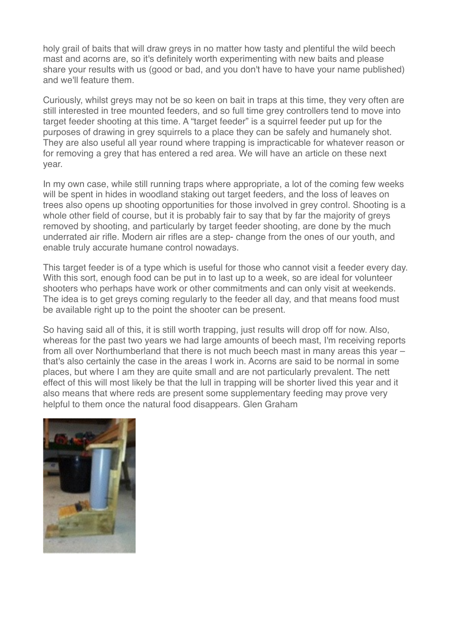holy grail of baits that will draw greys in no matter how tasty and plentiful the wild beech mast and acorns are, so it's definitely worth experimenting with new baits and please share your results with us (good or bad, and you don't have to have your name published) and we'll feature them.

Curiously, whilst greys may not be so keen on bait in traps at this time, they very often are still interested in tree mounted feeders, and so full time grey controllers tend to move into target feeder shooting at this time. A "target feeder" is a squirrel feeder put up for the purposes of drawing in grey squirrels to a place they can be safely and humanely shot. They are also useful all year round where trapping is impracticable for whatever reason or for removing a grey that has entered a red area. We will have an article on these next year.

In my own case, while still running traps where appropriate, a lot of the coming few weeks will be spent in hides in woodland staking out target feeders, and the loss of leaves on trees also opens up shooting opportunities for those involved in grey control. Shooting is a whole other field of course, but it is probably fair to say that by far the majority of greys removed by shooting, and particularly by target feeder shooting, are done by the much underrated air rifle. Modern air rifles are a step- change from the ones of our youth, and enable truly accurate humane control nowadays.

This target feeder is of a type which is useful for those who cannot visit a feeder every day. With this sort, enough food can be put in to last up to a week, so are ideal for volunteer shooters who perhaps have work or other commitments and can only visit at weekends. The idea is to get greys coming regularly to the feeder all day, and that means food must be available right up to the point the shooter can be present.

So having said all of this, it is still worth trapping, just results will drop off for now. Also, whereas for the past two years we had large amounts of beech mast, I'm receiving reports from all over Northumberland that there is not much beech mast in many areas this year – that's also certainly the case in the areas I work in. Acorns are said to be normal in some places, but where I am they are quite small and are not particularly prevalent. The nett effect of this will most likely be that the lull in trapping will be shorter lived this year and it also means that where reds are present some supplementary feeding may prove very helpful to them once the natural food disappears. Glen Graham

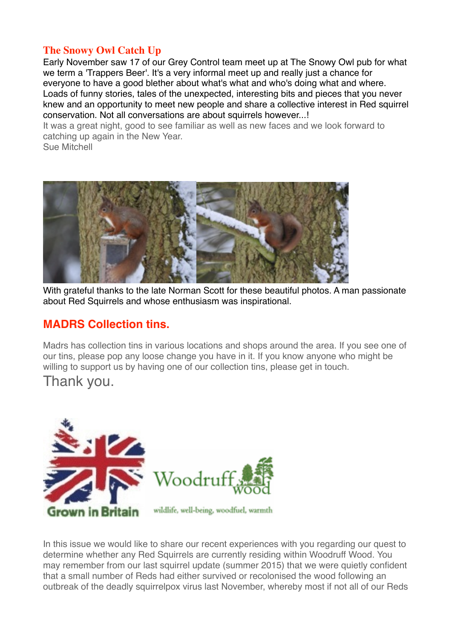#### **The Snowy Owl Catch Up**

Early November saw 17 of our Grey Control team meet up at The Snowy Owl pub for what we term a 'Trappers Beer'. It's a very informal meet up and really just a chance for everyone to have a good blether about what's what and who's doing what and where. Loads of funny stories, tales of the unexpected, interesting bits and pieces that you never knew and an opportunity to meet new people and share a collective interest in Red squirrel conservation. Not all conversations are about squirrels however...!

It was a great night, good to see familiar as well as new faces and we look forward to catching up again in the New Year.

Sue Mitchell



With grateful thanks to the late Norman Scott for these beautiful photos. A man passionate about Red Squirrels and whose enthusiasm was inspirational.

## **MADRS Collection tins.**

Madrs has collection tins in various locations and shops around the area. If you see one of our tins, please pop any loose change you have in it. If you know anyone who might be willing to support us by having one of our collection tins, please get in touch.

Thank you.



In this issue we would like to share our recent experiences with you regarding our quest to determine whether any Red Squirrels are currently residing within Woodruff Wood. You may remember from our last squirrel update (summer 2015) that we were quietly confident that a small number of Reds had either survived or recolonised the wood following an outbreak of the deadly squirrelpox virus last November, whereby most if not all of our Reds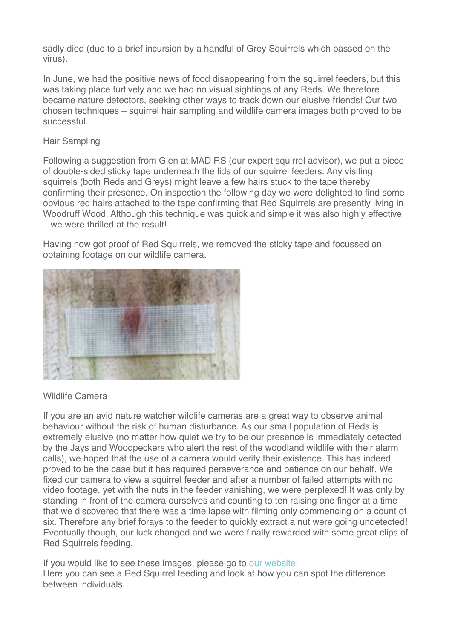sadly died (due to a brief incursion by a handful of Grey Squirrels which passed on the virus).

In June, we had the positive news of food disappearing from the squirrel feeders, but this was taking place furtively and we had no visual sightings of any Reds. We therefore became nature detectors, seeking other ways to track down our elusive friends! Our two chosen techniques – squirrel hair sampling and wildlife camera images both proved to be successful.

#### Hair Sampling

Following a suggestion from Glen at MAD RS (our expert squirrel advisor), we put a piece of double-sided sticky tape underneath the lids of our squirrel feeders. Any visiting squirrels (both Reds and Greys) might leave a few hairs stuck to the tape thereby confirming their presence. On inspection the following day we were delighted to find some obvious red hairs attached to the tape confirming that Red Squirrels are presently living in Woodruff Wood. Although this technique was quick and simple it was also highly effective – we were thrilled at the result!

Having now got proof of Red Squirrels, we removed the sticky tape and focussed on obtaining footage on our wildlife camera.



#### Wildlife Camera

If you are an avid nature watcher wildlife cameras are a great way to observe animal behaviour without the risk of human disturbance. As our small population of Reds is extremely elusive (no matter how quiet we try to be our presence is immediately detected by the Jays and Woodpeckers who alert the rest of the woodland wildlife with their alarm calls), we hoped that the use of a camera would verify their existence. This has indeed proved to be the case but it has required perseverance and patience on our behalf. We fixed our camera to view a squirrel feeder and after a number of failed attempts with no video footage, yet with the nuts in the feeder vanishing, we were perplexed! It was only by standing in front of the camera ourselves and counting to ten raising one finger at a time that we discovered that there was a time lapse with filming only commencing on a count of six. Therefore any brief forays to the feeder to quickly extract a nut were going undetected! Eventually though, our luck changed and we were finally rewarded with some great clips of Red Squirrels feeding.

If you would like to see these images, please go to our website. Here you can see a Red Squirrel feeding and look at how you can spot the difference between individuals.